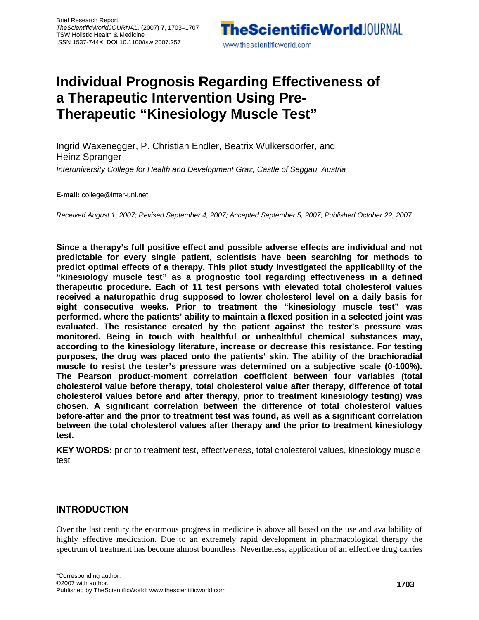

# **Individual Prognosis Regarding Effectiveness of a Therapeutic Intervention Using Pre-Therapeutic "Kinesiology Muscle Test"**

Ingrid Waxenegger, P. Christian Endler, Beatrix Wulkersdorfer, and Heinz Spranger *Interuniversity College for Health and Development Graz, Castle of Seggau, Austria* 

**E-mail:** college@inter-uni.net

*Received August 1, 2007; Revised September 4, 2007; Accepted September 5, 2007; Published October 22, 2007*

**Since a therapy's full positive effect and possible adverse effects are individual and not predictable for every single patient, scientists have been searching for methods to predict optimal effects of a therapy. This pilot study investigated the applicability of the "kinesiology muscle test" as a prognostic tool regarding effectiveness in a defined therapeutic procedure. Each of 11 test persons with elevated total cholesterol values received a naturopathic drug supposed to lower cholesterol level on a daily basis for eight consecutive weeks. Prior to treatment the "kinesiology muscle test" was performed, where the patients' ability to maintain a flexed position in a selected joint was evaluated. The resistance created by the patient against the tester's pressure was monitored. Being in touch with healthful or unhealthful chemical substances may, according to the kinesiology literature, increase or decrease this resistance. For testing purposes, the drug was placed onto the patients' skin. The ability of the brachioradial muscle to resist the tester's pressure was determined on a subjective scale (0-100%). The Pearson product-moment correlation coefficient between four variables (total cholesterol value before therapy, total cholesterol value after therapy, difference of total cholesterol values before and after therapy, prior to treatment kinesiology testing) was chosen. A significant correlation between the difference of total cholesterol values before-after and the prior to treatment test was found, as well as a significant correlation between the total cholesterol values after therapy and the prior to treatment kinesiology test.** 

**KEY WORDS:** prior to treatment test, effectiveness, total cholesterol values, kinesiology muscle test

# **INTRODUCTION**

Over the last century the enormous progress in medicine is above all based on the use and availability of highly effective medication. Due to an extremely rapid development in pharmacological therapy the spectrum of treatment has become almost boundless. Nevertheless, application of an effective drug carries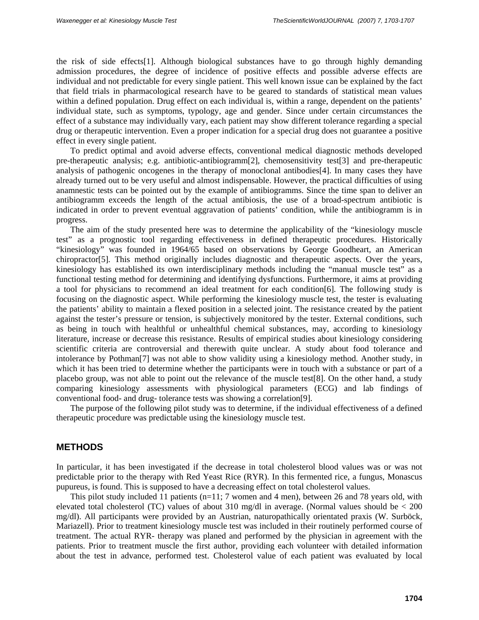the risk of side effects[1]. Although biological substances have to go through highly demanding admission procedures, the degree of incidence of positive effects and possible adverse effects are individual and not predictable for every single patient. This well known issue can be explained by the fact that field trials in pharmacological research have to be geared to standards of statistical mean values within a defined population. Drug effect on each individual is, within a range, dependent on the patients' individual state, such as symptoms, typology, age and gender. Since under certain circumstances the effect of a substance may individually vary, each patient may show different tolerance regarding a special drug or therapeutic intervention. Even a proper indication for a special drug does not guarantee a positive effect in every single patient.

To predict optimal and avoid adverse effects, conventional medical diagnostic methods developed pre-therapeutic analysis; e.g. antibiotic-antibiogramm[2], chemosensitivity test[3] and pre-therapeutic analysis of pathogenic oncogenes in the therapy of monoclonal antibodies[4]. In many cases they have already turned out to be very useful and almost indispensable. However, the practical difficulties of using anamnestic tests can be pointed out by the example of antibiogramms. Since the time span to deliver an antibiogramm exceeds the length of the actual antibiosis, the use of a broad-spectrum antibiotic is indicated in order to prevent eventual aggravation of patients' condition, while the antibiogramm is in progress.

The aim of the study presented here was to determine the applicability of the "kinesiology muscle test" as a prognostic tool regarding effectiveness in defined therapeutic procedures. Historically "kinesiology" was founded in 1964/65 based on observations by George Goodheart, an American chiropractor[5]. This method originally includes diagnostic and therapeutic aspects. Over the years, kinesiology has established its own interdisciplinary methods including the "manual muscle test" as a functional testing method for determining and identifying dysfunctions. Furthermore, it aims at providing a tool for physicians to recommend an ideal treatment for each condition[6]. The following study is focusing on the diagnostic aspect. While performing the kinesiology muscle test, the tester is evaluating the patients' ability to maintain a flexed position in a selected joint. The resistance created by the patient against the tester's pressure or tension, is subjectively monitored by the tester. External conditions, such as being in touch with healthful or unhealthful chemical substances, may, according to kinesiology literature, increase or decrease this resistance. Results of empirical studies about kinesiology considering scientific criteria are controversial and therewith quite unclear. A study about food tolerance and intolerance by Pothman[7] was not able to show validity using a kinesiology method. Another study, in which it has been tried to determine whether the participants were in touch with a substance or part of a placebo group, was not able to point out the relevance of the muscle test[8]. On the other hand, a study comparing kinesiology assessments with physiological parameters (ECG) and lab findings of conventional food- and drug- tolerance tests was showing a correlation[9].

The purpose of the following pilot study was to determine, if the individual effectiveness of a defined therapeutic procedure was predictable using the kinesiology muscle test.

#### **METHODS**

In particular, it has been investigated if the decrease in total cholesterol blood values was or was not predictable prior to the therapy with Red Yeast Rice (RYR). In this fermented rice, a fungus, Monascus pupureus, is found. This is supposed to have a decreasing effect on total cholesterol values.

This pilot study included 11 patients ( $n=11$ ; 7 women and 4 men), between 26 and 78 years old, with elevated total cholesterol (TC) values of about 310 mg/dl in average. (Normal values should be < 200 mg/dl). All participants were provided by an Austrian, naturopathically orientated praxis (W. Surböck, Mariazell). Prior to treatment kinesiology muscle test was included in their routinely performed course of treatment. The actual RYR- therapy was planed and performed by the physician in agreement with the patients. Prior to treatment muscle the first author, providing each volunteer with detailed information about the test in advance, performed test. Cholesterol value of each patient was evaluated by local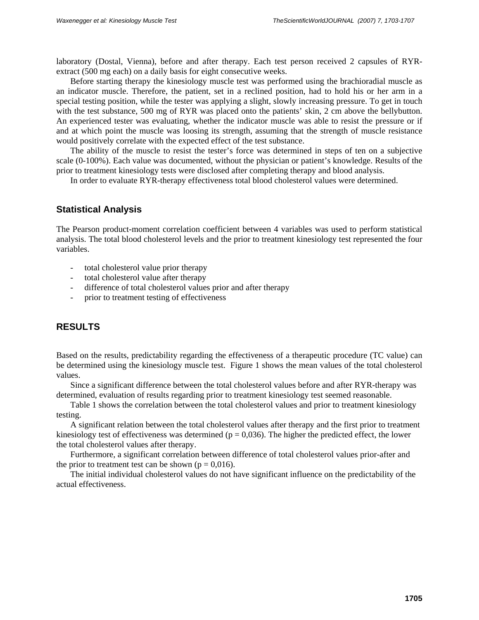laboratory (Dostal, Vienna), before and after therapy. Each test person received 2 capsules of RYRextract (500 mg each) on a daily basis for eight consecutive weeks.

Before starting therapy the kinesiology muscle test was performed using the brachioradial muscle as an indicator muscle. Therefore, the patient, set in a reclined position, had to hold his or her arm in a special testing position, while the tester was applying a slight, slowly increasing pressure. To get in touch with the test substance, 500 mg of RYR was placed onto the patients' skin, 2 cm above the bellybutton. An experienced tester was evaluating, whether the indicator muscle was able to resist the pressure or if and at which point the muscle was loosing its strength, assuming that the strength of muscle resistance would positively correlate with the expected effect of the test substance.

The ability of the muscle to resist the tester's force was determined in steps of ten on a subjective scale (0-100%). Each value was documented, without the physician or patient's knowledge. Results of the prior to treatment kinesiology tests were disclosed after completing therapy and blood analysis.

In order to evaluate RYR-therapy effectiveness total blood cholesterol values were determined.

#### **Statistical Analysis**

The Pearson product-moment correlation coefficient between 4 variables was used to perform statistical analysis. The total blood cholesterol levels and the prior to treatment kinesiology test represented the four variables.

- total cholesterol value prior therapy
- total cholesterol value after therapy
- difference of total cholesterol values prior and after therapy
- prior to treatment testing of effectiveness

## **RESULTS**

Based on the results, predictability regarding the effectiveness of a therapeutic procedure (TC value) can be determined using the kinesiology muscle test. Figure 1 shows the mean values of the total cholesterol values.

Since a significant difference between the total cholesterol values before and after RYR-therapy was determined, evaluation of results regarding prior to treatment kinesiology test seemed reasonable.

Table 1 shows the correlation between the total cholesterol values and prior to treatment kinesiology testing.

A significant relation between the total cholesterol values after therapy and the first prior to treatment kinesiology test of effectiveness was determined ( $p = 0.036$ ). The higher the predicted effect, the lower the total cholesterol values after therapy.

Furthermore, a significant correlation between difference of total cholesterol values prior-after and the prior to treatment test can be shown ( $p = 0.016$ ).

The initial individual cholesterol values do not have significant influence on the predictability of the actual effectiveness.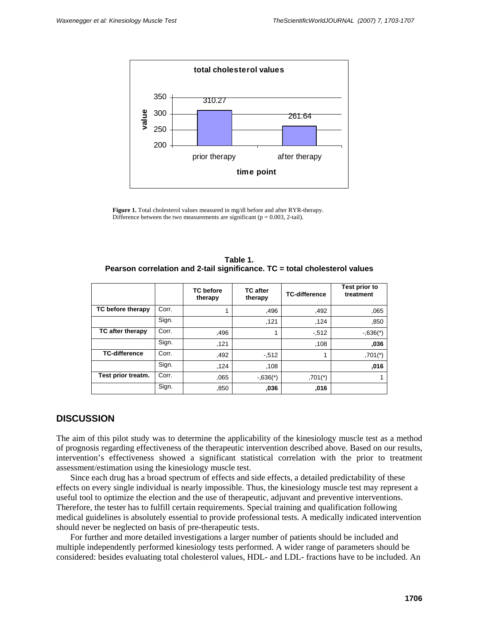

Figure 1. Total cholesterol values measured in mg/dl before and after RYR-therapy. Difference between the two measurements are significant ( $p = 0.003$ , 2-tail).

| Table 1.                                                                   |
|----------------------------------------------------------------------------|
| Pearson correlation and 2-tail significance. TC = total cholesterol values |

|                      |       | <b>TC</b> before<br>therapy | <b>TC</b> after<br>therapy | <b>TC-difference</b>  | Test prior to<br>treatment |
|----------------------|-------|-----------------------------|----------------------------|-----------------------|----------------------------|
| TC before therapy    | Corr. |                             | ,496                       | ,492                  | ,065                       |
|                      | Sign. |                             | ,121                       | ,124                  | ,850                       |
| TC after therapy     | Corr. | .496                        |                            | $-512$                | $-.636(*)$                 |
|                      | Sign. | ,121                        |                            | ,108                  | ,036                       |
| <b>TC-difference</b> | Corr. | ,492                        | $-0.512$                   |                       | $,701$ <sup>(*)</sup>      |
|                      | Sign. | ,124                        | ,108                       |                       | ,016                       |
| Test prior treatm.   | Corr. | ,065                        | $-0.636(*)$                | $,701$ <sup>*</sup> ) |                            |
|                      | Sign. | .850                        | ,036                       | ,016                  |                            |

# **DISCUSSION**

The aim of this pilot study was to determine the applicability of the kinesiology muscle test as a method of prognosis regarding effectiveness of the therapeutic intervention described above. Based on our results, intervention's effectiveness showed a significant statistical correlation with the prior to treatment assessment/estimation using the kinesiology muscle test.

Since each drug has a broad spectrum of effects and side effects, a detailed predictability of these effects on every single individual is nearly impossible. Thus, the kinesiology muscle test may represent a useful tool to optimize the election and the use of therapeutic, adjuvant and preventive interventions. Therefore, the tester has to fulfill certain requirements. Special training and qualification following medical guidelines is absolutely essential to provide professional tests. A medically indicated intervention should never be neglected on basis of pre-therapeutic tests.

For further and more detailed investigations a larger number of patients should be included and multiple independently performed kinesiology tests performed. A wider range of parameters should be considered: besides evaluating total cholesterol values, HDL- and LDL- fractions have to be included. An